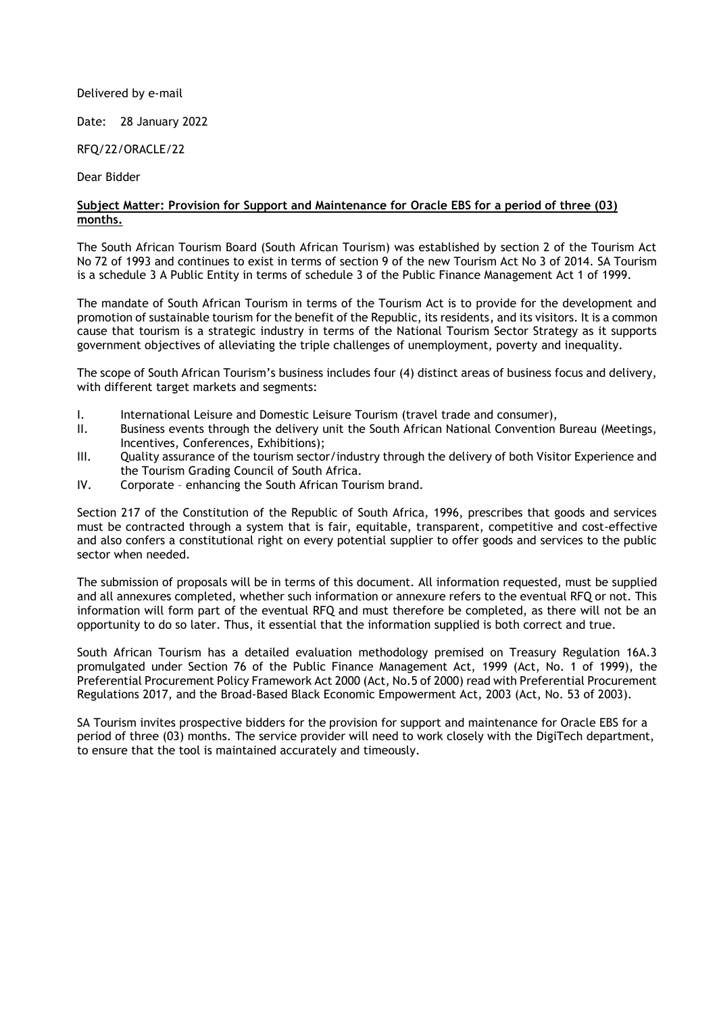Delivered by e-mail

Date: 28 January 2022

RFQ/22/ORACLE/22

Dear Bidder

# **Subject Matter: Provision for Support and Maintenance for Oracle EBS for a period of three (03) months.**

The South African Tourism Board (South African Tourism) was established by section 2 of the Tourism Act No 72 of 1993 and continues to exist in terms of section 9 of the new Tourism Act No 3 of 2014. SA Tourism is a schedule 3 A Public Entity in terms of schedule 3 of the Public Finance Management Act 1 of 1999.

The mandate of South African Tourism in terms of the Tourism Act is to provide for the development and promotion of sustainable tourism for the benefit of the Republic, its residents, and its visitors. It is a common cause that tourism is a strategic industry in terms of the National Tourism Sector Strategy as it supports government objectives of alleviating the triple challenges of unemployment, poverty and inequality.

The scope of South African Tourism's business includes four (4) distinct areas of business focus and delivery, with different target markets and segments:

- I. International Leisure and Domestic Leisure Tourism (travel trade and consumer),
- II. Business events through the delivery unit the South African National Convention Bureau (Meetings, Incentives, Conferences, Exhibitions);
- III. Quality assurance of the tourism sector/industry through the delivery of both Visitor Experience and the Tourism Grading Council of South Africa.
- IV. Corporate enhancing the South African Tourism brand.

Section 217 of the Constitution of the Republic of South Africa, 1996, prescribes that goods and services must be contracted through a system that is fair, equitable, transparent, competitive and cost-effective and also confers a constitutional right on every potential supplier to offer goods and services to the public sector when needed.

The submission of proposals will be in terms of this document. All information requested, must be supplied and all annexures completed, whether such information or annexure refers to the eventual RFQ or not. This information will form part of the eventual RFQ and must therefore be completed, as there will not be an opportunity to do so later. Thus, it essential that the information supplied is both correct and true.

South African Tourism has a detailed evaluation methodology premised on Treasury Regulation 16A.3 promulgated under Section 76 of the Public Finance Management Act, 1999 (Act, No. 1 of 1999), the Preferential Procurement Policy Framework Act 2000 (Act, No.5 of 2000) read with Preferential Procurement Regulations 2017, and the Broad-Based Black Economic Empowerment Act, 2003 (Act, No. 53 of 2003).

SA Tourism invites prospective bidders for the provision for support and maintenance for Oracle EBS for a period of three (03) months. The service provider will need to work closely with the DigiTech department, to ensure that the tool is maintained accurately and timeously.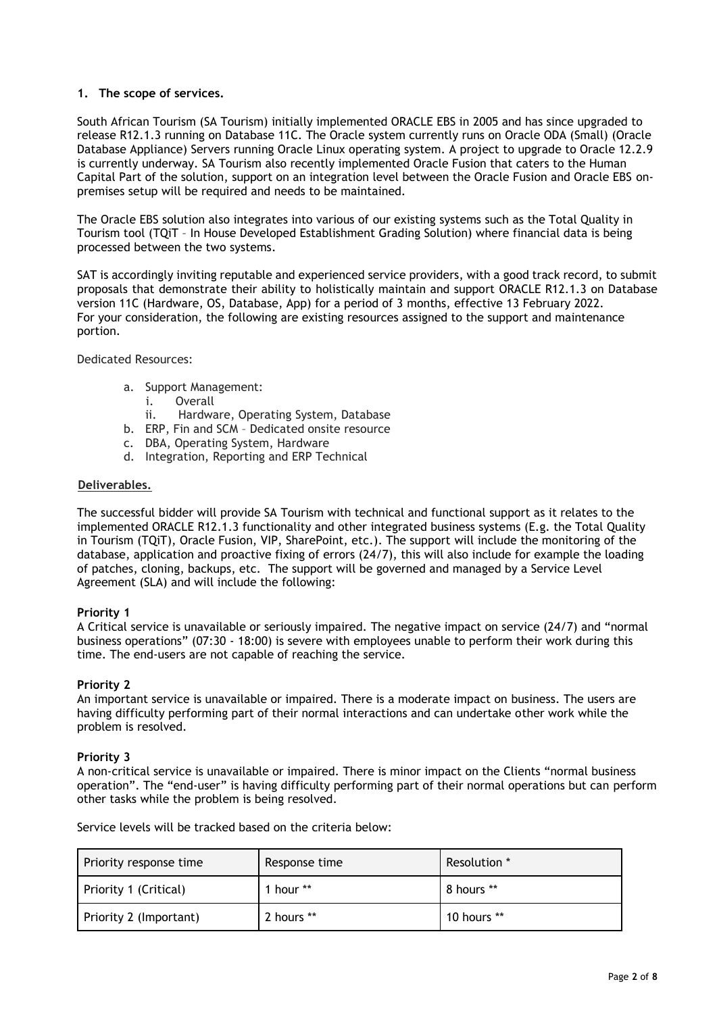# **1. The scope of services.**

South African Tourism (SA Tourism) initially implemented ORACLE EBS in 2005 and has since upgraded to release R12.1.3 running on Database 11C. The Oracle system currently runs on Oracle ODA (Small) (Oracle Database Appliance) Servers running Oracle Linux operating system. A project to upgrade to Oracle 12.2.9 is currently underway. SA Tourism also recently implemented Oracle Fusion that caters to the Human Capital Part of the solution, support on an integration level between the Oracle Fusion and Oracle EBS onpremises setup will be required and needs to be maintained.

The Oracle EBS solution also integrates into various of our existing systems such as the Total Quality in Tourism tool (TQiT – In House Developed Establishment Grading Solution) where financial data is being processed between the two systems.

SAT is accordingly inviting reputable and experienced service providers, with a good track record, to submit proposals that demonstrate their ability to holistically maintain and support ORACLE R12.1.3 on Database version 11C (Hardware, OS, Database, App) for a period of 3 months, effective 13 February 2022. For your consideration, the following are existing resources assigned to the support and maintenance portion.

Dedicated Resources:

- a. Support Management:
	- i. Overall
	- ii. Hardware, Operating System, Database
- b. ERP, Fin and SCM Dedicated onsite resource
- c. DBA, Operating System, Hardware
- d. Integration, Reporting and ERP Technical

### **Deliverables.**

The successful bidder will provide SA Tourism with technical and functional support as it relates to the implemented ORACLE R12.1.3 functionality and other integrated business systems (E.g. the Total Quality in Tourism (TQiT), Oracle Fusion, VIP, SharePoint, etc.). The support will include the monitoring of the database, application and proactive fixing of errors (24/7), this will also include for example the loading of patches, cloning, backups, etc. The support will be governed and managed by a Service Level Agreement (SLA) and will include the following:

# **Priority 1**

A Critical service is unavailable or seriously impaired. The negative impact on service (24/7) and "normal business operations" (07:30 - 18:00) is severe with employees unable to perform their work during this time. The end-users are not capable of reaching the service.

#### **Priority 2**

An important service is unavailable or impaired. There is a moderate impact on business. The users are having difficulty performing part of their normal interactions and can undertake other work while the problem is resolved.

#### **Priority 3**

A non-critical service is unavailable or impaired. There is minor impact on the Clients "normal business operation". The "end-user" is having difficulty performing part of their normal operations but can perform other tasks while the problem is being resolved.

Service levels will be tracked based on the criteria below:

| Priority response time | Response time | Resolution * |
|------------------------|---------------|--------------|
| Priority 1 (Critical)  | 1 hour **     | 8 hours **   |
| Priority 2 (Important) | 2 hours **    | 10 hours **  |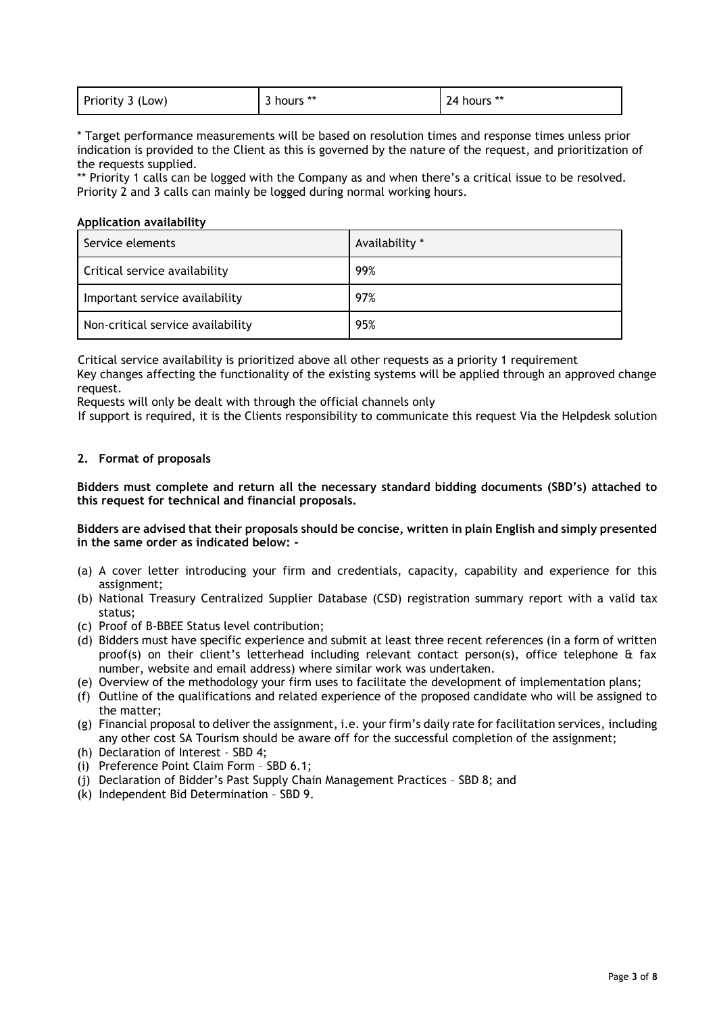| Priority 3 (L<br>LOW). | hours ** | hours **<br>24 |  |
|------------------------|----------|----------------|--|
|------------------------|----------|----------------|--|

\* Target performance measurements will be based on resolution times and response times unless prior indication is provided to the Client as this is governed by the nature of the request, and prioritization of the requests supplied.

\*\* Priority 1 calls can be logged with the Company as and when there's a critical issue to be resolved. Priority 2 and 3 calls can mainly be logged during normal working hours.

#### **Application availability**

| Service elements                  | Availability * |
|-----------------------------------|----------------|
| Critical service availability     | 99%            |
| Important service availability    | 97%            |
| Non-critical service availability | 95%            |

Critical service availability is prioritized above all other requests as a priority 1 requirement

Key changes affecting the functionality of the existing systems will be applied through an approved change request.

Requests will only be dealt with through the official channels only

If support is required, it is the Clients responsibility to communicate this request Via the Helpdesk solution

# **2. Format of proposals**

**Bidders must complete and return all the necessary standard bidding documents (SBD's) attached to this request for technical and financial proposals.**

**Bidders are advised that their proposals should be concise, written in plain English and simply presented in the same order as indicated below: -**

- (a) A cover letter introducing your firm and credentials, capacity, capability and experience for this assignment;
- (b) National Treasury Centralized Supplier Database (CSD) registration summary report with a valid tax status;
- (c) Proof of B-BBEE Status level contribution;
- (d) Bidders must have specific experience and submit at least three recent references (in a form of written proof(s) on their client's letterhead including relevant contact person(s), office telephone & fax number, website and email address) where similar work was undertaken.
- (e) Overview of the methodology your firm uses to facilitate the development of implementation plans;
- (f) Outline of the qualifications and related experience of the proposed candidate who will be assigned to the matter;
- (g) Financial proposal to deliver the assignment, i.e. your firm's daily rate for facilitation services, including any other cost SA Tourism should be aware off for the successful completion of the assignment;
- (h) Declaration of Interest SBD 4;
- (i) Preference Point Claim Form SBD 6.1;
- (j) Declaration of Bidder's Past Supply Chain Management Practices SBD 8; and
- (k) Independent Bid Determination SBD 9.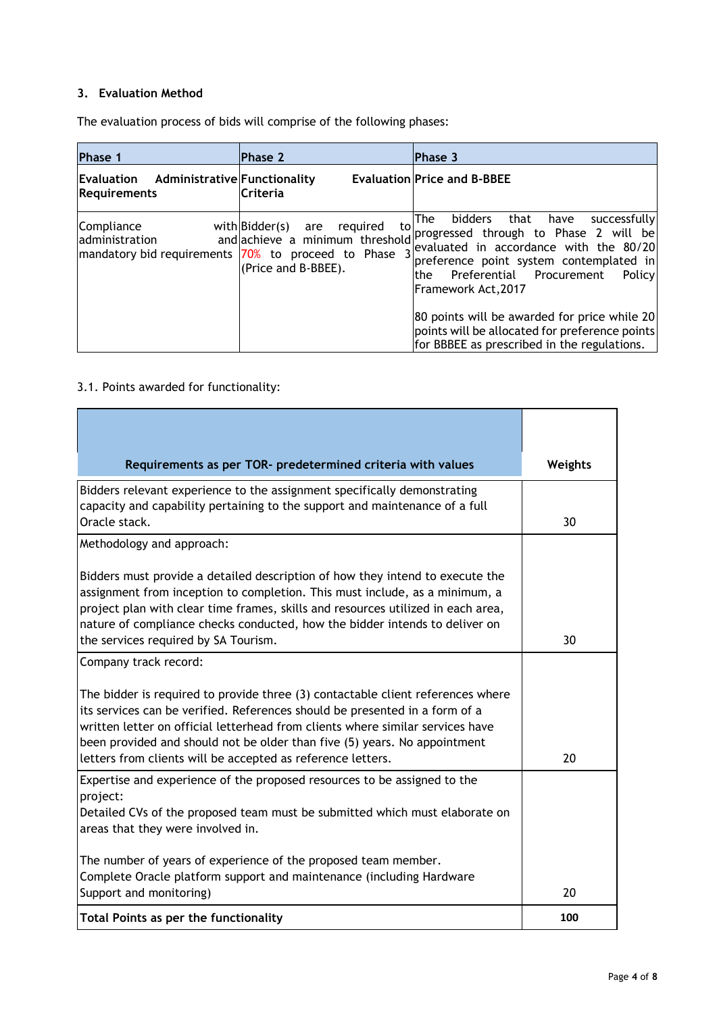# **3. Evaluation Method**

The evaluation process of bids will comprise of the following phases:

| <b>Phase 1</b>                                          | <b>Phase 2</b>                                                                                                                                            | <b>Phase 3</b>                                                                                                                                                                                                                                                                                  |
|---------------------------------------------------------|-----------------------------------------------------------------------------------------------------------------------------------------------------------|-------------------------------------------------------------------------------------------------------------------------------------------------------------------------------------------------------------------------------------------------------------------------------------------------|
| Evaluation Administrative Functionality<br>Requirements | <b>Criteria</b>                                                                                                                                           | <b>Evaluation Price and B-BBEE</b>                                                                                                                                                                                                                                                              |
| Compliance<br>administration                            | tol<br>with Bidder(s) are<br>required<br>and achieve a minimum threshold<br> mandatory bid requirements  70% to proceed to Phase 3<br>(Price and B-BBEE). | bidders that have<br>successfully<br>lThe I<br>progressed through to Phase 2 will be<br>evaluated in accordance with the 80/20<br>preference point system contemplated in<br>Preferential Procurement<br>Policy<br>lthe.<br>Framework Act, 2017<br>80 points will be awarded for price while 20 |
|                                                         |                                                                                                                                                           | points will be allocated for preference points<br>for BBBEE as prescribed in the regulations.                                                                                                                                                                                                   |

# 3.1. Points awarded for functionality:

| Requirements as per TOR- predetermined criteria with values                                                                                                                                                                                                                                                                                                                                  | Weights |
|----------------------------------------------------------------------------------------------------------------------------------------------------------------------------------------------------------------------------------------------------------------------------------------------------------------------------------------------------------------------------------------------|---------|
| Bidders relevant experience to the assignment specifically demonstrating<br>capacity and capability pertaining to the support and maintenance of a full<br>Oracle stack.                                                                                                                                                                                                                     | 30      |
| Methodology and approach:                                                                                                                                                                                                                                                                                                                                                                    |         |
| Bidders must provide a detailed description of how they intend to execute the<br>assignment from inception to completion. This must include, as a minimum, a<br>project plan with clear time frames, skills and resources utilized in each area,<br>nature of compliance checks conducted, how the bidder intends to deliver on<br>the services required by SA Tourism.                      | 30      |
| Company track record:                                                                                                                                                                                                                                                                                                                                                                        |         |
| The bidder is required to provide three (3) contactable client references where<br>its services can be verified. References should be presented in a form of a<br>written letter on official letterhead from clients where similar services have<br>been provided and should not be older than five (5) years. No appointment<br>letters from clients will be accepted as reference letters. | 20      |
| Expertise and experience of the proposed resources to be assigned to the                                                                                                                                                                                                                                                                                                                     |         |
| project:<br>Detailed CVs of the proposed team must be submitted which must elaborate on<br>areas that they were involved in.                                                                                                                                                                                                                                                                 |         |
| The number of years of experience of the proposed team member.<br>Complete Oracle platform support and maintenance (including Hardware<br>Support and monitoring)                                                                                                                                                                                                                            | 20      |
| Total Points as per the functionality                                                                                                                                                                                                                                                                                                                                                        | 100     |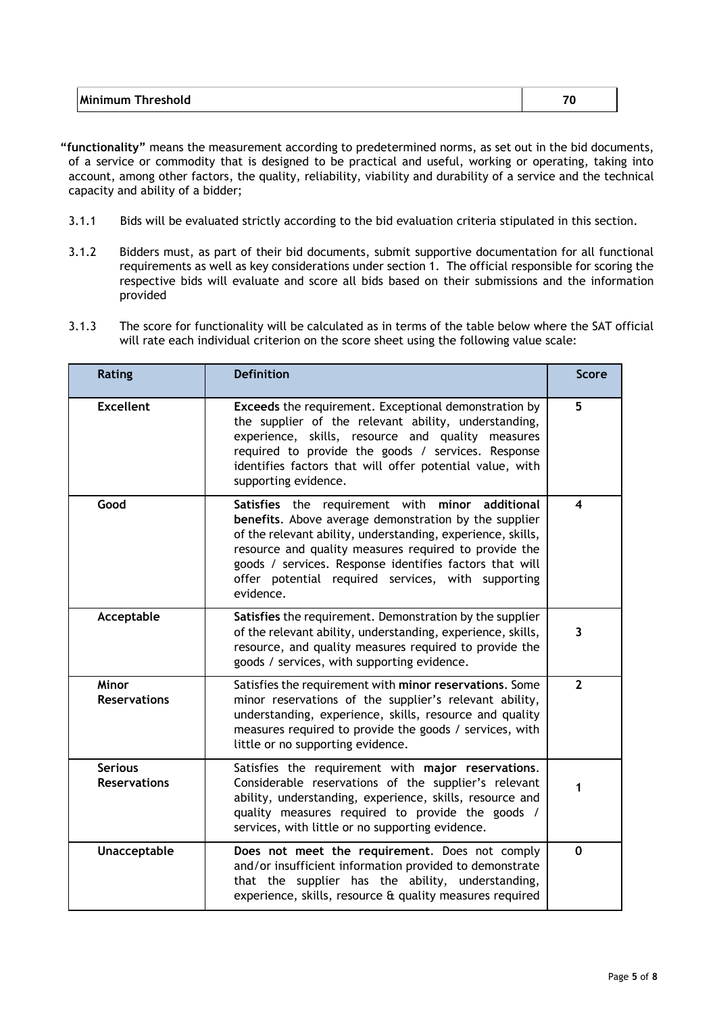| Minimum Threshold |  |
|-------------------|--|
|                   |  |

**"functionality"** means the measurement according to predetermined norms, as set out in the bid documents, of a service or commodity that is designed to be practical and useful, working or operating, taking into account, among other factors, the quality, reliability, viability and durability of a service and the technical capacity and ability of a bidder;

- 3.1.1 Bids will be evaluated strictly according to the bid evaluation criteria stipulated in this section.
- 3.1.2 Bidders must, as part of their bid documents, submit supportive documentation for all functional requirements as well as key considerations under section 1. The official responsible for scoring the respective bids will evaluate and score all bids based on their submissions and the information provided
- 3.1.3 The score for functionality will be calculated as in terms of the table below where the SAT official will rate each individual criterion on the score sheet using the following value scale:

| <b>Rating</b>                         | <b>Definition</b>                                                                                                                                                                                                                                                                                                                                              | <b>Score</b>   |
|---------------------------------------|----------------------------------------------------------------------------------------------------------------------------------------------------------------------------------------------------------------------------------------------------------------------------------------------------------------------------------------------------------------|----------------|
| <b>Excellent</b>                      | Exceeds the requirement. Exceptional demonstration by<br>the supplier of the relevant ability, understanding,<br>experience, skills, resource and quality measures<br>required to provide the goods / services. Response<br>identifies factors that will offer potential value, with<br>supporting evidence.                                                   | 5              |
| Good                                  | Satisfies the requirement with minor additional<br>benefits. Above average demonstration by the supplier<br>of the relevant ability, understanding, experience, skills,<br>resource and quality measures required to provide the<br>goods / services. Response identifies factors that will<br>offer potential required services, with supporting<br>evidence. | 4              |
| Acceptable                            | Satisfies the requirement. Demonstration by the supplier<br>of the relevant ability, understanding, experience, skills,<br>resource, and quality measures required to provide the<br>goods / services, with supporting evidence.                                                                                                                               | 3              |
| Minor<br><b>Reservations</b>          | Satisfies the requirement with minor reservations. Some<br>minor reservations of the supplier's relevant ability,<br>understanding, experience, skills, resource and quality<br>measures required to provide the goods / services, with<br>little or no supporting evidence.                                                                                   | $\overline{2}$ |
| <b>Serious</b><br><b>Reservations</b> | Satisfies the requirement with major reservations.<br>Considerable reservations of the supplier's relevant<br>ability, understanding, experience, skills, resource and<br>quality measures required to provide the goods /<br>services, with little or no supporting evidence.                                                                                 | 1              |
| Unacceptable                          | Does not meet the requirement. Does not comply<br>and/or insufficient information provided to demonstrate<br>that the supplier has the ability, understanding,<br>experience, skills, resource & quality measures required                                                                                                                                     | $\bf{0}$       |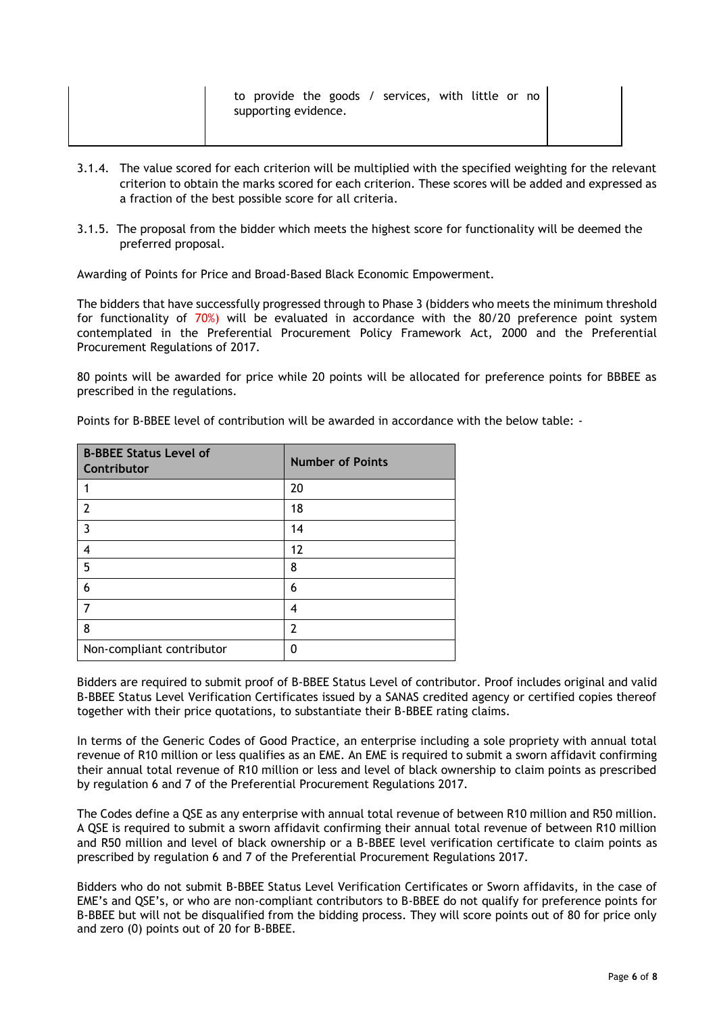- 3.1.4. The value scored for each criterion will be multiplied with the specified weighting for the relevant criterion to obtain the marks scored for each criterion. These scores will be added and expressed as a fraction of the best possible score for all criteria.
- 3.1.5. The proposal from the bidder which meets the highest score for functionality will be deemed the preferred proposal.

Awarding of Points for Price and Broad-Based Black Economic Empowerment.

The bidders that have successfully progressed through to Phase 3 (bidders who meets the minimum threshold for functionality of 70%) will be evaluated in accordance with the 80/20 preference point system contemplated in the Preferential Procurement Policy Framework Act, 2000 and the Preferential Procurement Regulations of 2017.

80 points will be awarded for price while 20 points will be allocated for preference points for BBBEE as prescribed in the regulations.

| <b>B-BBEE Status Level of</b><br>Contributor | <b>Number of Points</b> |
|----------------------------------------------|-------------------------|
|                                              | 20                      |
| $\mathcal{P}$                                | 18                      |
| $\overline{3}$                               | 14                      |
| 4                                            | 12                      |
| 5                                            | 8                       |
| 6                                            | 6                       |
|                                              | 4                       |
| 8                                            | $\overline{2}$          |
| Non-compliant contributor                    | O                       |

Points for B-BBEE level of contribution will be awarded in accordance with the below table: -

Bidders are required to submit proof of B-BBEE Status Level of contributor. Proof includes original and valid B-BBEE Status Level Verification Certificates issued by a SANAS credited agency or certified copies thereof together with their price quotations, to substantiate their B-BBEE rating claims.

In terms of the Generic Codes of Good Practice, an enterprise including a sole propriety with annual total revenue of R10 million or less qualifies as an EME. An EME is required to submit a sworn affidavit confirming their annual total revenue of R10 million or less and level of black ownership to claim points as prescribed by regulation 6 and 7 of the Preferential Procurement Regulations 2017.

The Codes define a QSE as any enterprise with annual total revenue of between R10 million and R50 million. A QSE is required to submit a sworn affidavit confirming their annual total revenue of between R10 million and R50 million and level of black ownership or a B-BBEE level verification certificate to claim points as prescribed by regulation 6 and 7 of the Preferential Procurement Regulations 2017.

Bidders who do not submit B-BBEE Status Level Verification Certificates or Sworn affidavits, in the case of EME's and QSE's, or who are non-compliant contributors to B-BBEE do not qualify for preference points for B-BBEE but will not be disqualified from the bidding process. They will score points out of 80 for price only and zero (0) points out of 20 for B-BBEE.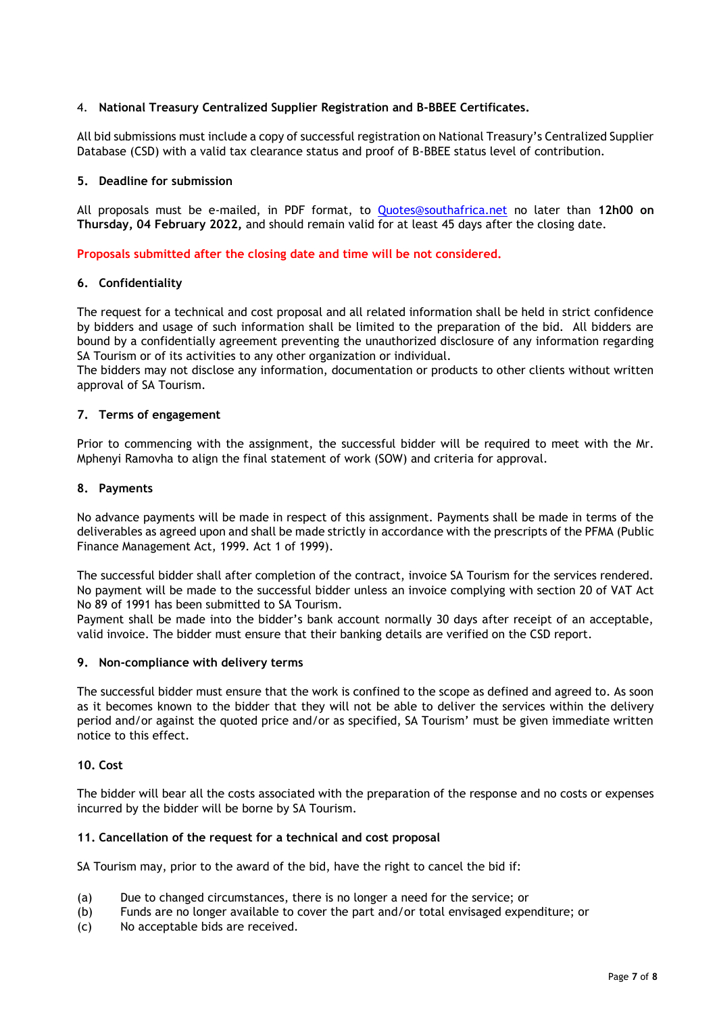# 4. **National Treasury Centralized Supplier Registration and B-BBEE Certificates.**

All bid submissions must include a copy of successful registration on National Treasury's Centralized Supplier Database (CSD) with a valid tax clearance status and proof of B-BBEE status level of contribution.

### **5. Deadline for submission**

All proposals must be e-mailed, in PDF format, to [Quotes@southafrica.net](mailto:Quotes@southafrica.net) no later than **12h00 on Thursday, 04 February 2022,** and should remain valid for at least 45 days after the closing date.

**Proposals submitted after the closing date and time will be not considered.**

### **6. Confidentiality**

The request for a technical and cost proposal and all related information shall be held in strict confidence by bidders and usage of such information shall be limited to the preparation of the bid. All bidders are bound by a confidentially agreement preventing the unauthorized disclosure of any information regarding SA Tourism or of its activities to any other organization or individual.

The bidders may not disclose any information, documentation or products to other clients without written approval of SA Tourism.

### **7. Terms of engagement**

Prior to commencing with the assignment, the successful bidder will be required to meet with the Mr. Mphenyi Ramovha to align the final statement of work (SOW) and criteria for approval.

### **8. Payments**

No advance payments will be made in respect of this assignment. Payments shall be made in terms of the deliverables as agreed upon and shall be made strictly in accordance with the prescripts of the PFMA (Public Finance Management Act, 1999. Act 1 of 1999).

The successful bidder shall after completion of the contract, invoice SA Tourism for the services rendered. No payment will be made to the successful bidder unless an invoice complying with section 20 of VAT Act No 89 of 1991 has been submitted to SA Tourism.

Payment shall be made into the bidder's bank account normally 30 days after receipt of an acceptable, valid invoice. The bidder must ensure that their banking details are verified on the CSD report.

# **9. Non-compliance with delivery terms**

The successful bidder must ensure that the work is confined to the scope as defined and agreed to. As soon as it becomes known to the bidder that they will not be able to deliver the services within the delivery period and/or against the quoted price and/or as specified, SA Tourism' must be given immediate written notice to this effect.

#### **10. Cost**

The bidder will bear all the costs associated with the preparation of the response and no costs or expenses incurred by the bidder will be borne by SA Tourism.

#### **11. Cancellation of the request for a technical and cost proposal**

SA Tourism may, prior to the award of the bid, have the right to cancel the bid if:

- (a) Due to changed circumstances, there is no longer a need for the service; or
- (b) Funds are no longer available to cover the part and/or total envisaged expenditure; or
- (c) No acceptable bids are received.